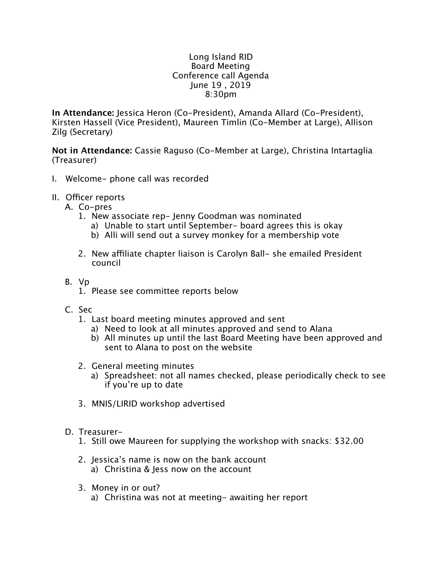## Long Island RID Board Meeting Conference call Agenda June 19 , 2019 8:30pm

**In Attendance:** Jessica Heron (Co-President), Amanda Allard (Co-President), Kirsten Hassell (Vice President), Maureen Timlin (Co-Member at Large), Allison Zilg (Secretary)

**Not in Attendance:** Cassie Raguso (Co-Member at Large), Christina Intartaglia (Treasurer)

- I. Welcome- phone call was recorded
- II. Officer reports
	- A. Co-pres
		- 1. New associate rep- Jenny Goodman was nominated
			- a) Unable to start until September- board agrees this is okay
			- b) Alli will send out a survey monkey for a membership vote
		- 2. New affiliate chapter liaison is Carolyn Ball- she emailed President council
	- B. Vp
		- 1. Please see committee reports below
	- C. Sec
		- 1. Last board meeting minutes approved and sent
			- a) Need to look at all minutes approved and send to Alana
			- b) All minutes up until the last Board Meeting have been approved and sent to Alana to post on the website
		- 2. General meeting minutes
			- a) Spreadsheet: not all names checked, please periodically check to see if you're up to date
		- 3. MNIS/LIRID workshop advertised
	- D. Treasurer-
		- 1. Still owe Maureen for supplying the workshop with snacks: \$32.00
		- 2. Jessica's name is now on the bank account a) Christina & Jess now on the account
		- 3. Money in or out?
			- a) Christina was not at meeting- awaiting her report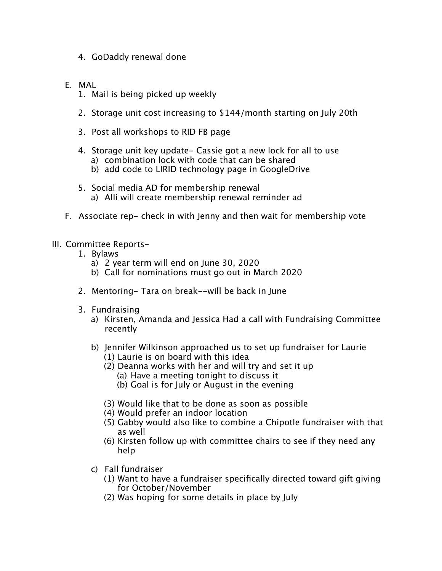- 4. GoDaddy renewal done
- E. MAL
	- 1. Mail is being picked up weekly
	- 2. Storage unit cost increasing to \$144/month starting on July 20th
	- 3. Post all workshops to RID FB page
	- 4. Storage unit key update- Cassie got a new lock for all to use a) combination lock with code that can be shared
		- b) add code to LIRID technology page in GoogleDrive
	- 5. Social media AD for membership renewal a) Alli will create membership renewal reminder ad
- F. Associate rep- check in with Jenny and then wait for membership vote

## III. Committee Reports-

- 1. Bylaws
	- a) 2 year term will end on June 30, 2020
	- b) Call for nominations must go out in March 2020
- 2. Mentoring- Tara on break--will be back in June
- 3. Fundraising
	- a) Kirsten, Amanda and Jessica Had a call with Fundraising Committee recently
	- b) Jennifer Wilkinson approached us to set up fundraiser for Laurie (1) Laurie is on board with this idea
		- (2) Deanna works with her and will try and set it up
			- (a) Have a meeting tonight to discuss it
			- (b) Goal is for July or August in the evening
		- (3) Would like that to be done as soon as possible
		- (4) Would prefer an indoor location
		- (5) Gabby would also like to combine a Chipotle fundraiser with that as well
		- (6) Kirsten follow up with committee chairs to see if they need any help
	- c) Fall fundraiser
		- (1) Want to have a fundraiser specifically directed toward gift giving for October/November
		- (2) Was hoping for some details in place by July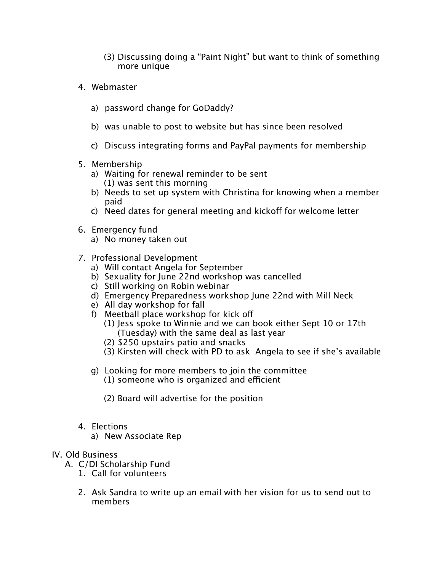- (3) Discussing doing a "Paint Night" but want to think of something more unique
- 4. Webmaster
	- a) password change for GoDaddy?
	- b) was unable to post to website but has since been resolved
	- c) Discuss integrating forms and PayPal payments for membership
- 5. Membership
	- a) Waiting for renewal reminder to be sent (1) was sent this morning
	- b) Needs to set up system with Christina for knowing when a member paid
	- c) Need dates for general meeting and kickoff for welcome letter
- 6. Emergency fund
	- a) No money taken out
- 7. Professional Development
	- a) Will contact Angela for September
	- b) Sexuality for June 22nd workshop was cancelled
	- c) Still working on Robin webinar
	- d) Emergency Preparedness workshop June 22nd with Mill Neck
	- e) All day workshop for fall
	- f) Meetball place workshop for kick of
		- (1) Jess spoke to Winnie and we can book either Sept 10 or 17th (Tuesday) with the same deal as last year
		- (2) \$250 upstairs patio and snacks
		- (3) Kirsten will check with PD to ask Angela to see if she's available
	- g) Looking for more members to join the committee  $(1)$  someone who is organized and efficient
		- (2) Board will advertise for the position
- 4. Elections
	- a) New Associate Rep

## IV. Old Business

- A. C/DI Scholarship Fund
	- 1. Call for volunteers
	- 2. Ask Sandra to write up an email with her vision for us to send out to members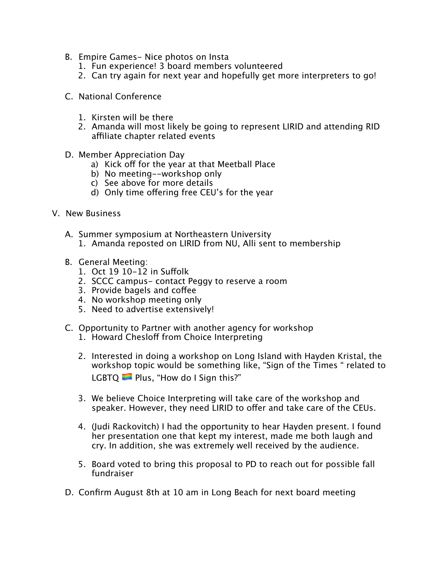- B. Empire Games- Nice photos on Insta
	- 1. Fun experience! 3 board members volunteered
	- 2. Can try again for next year and hopefully get more interpreters to go!
- C. National Conference
	- 1. Kirsten will be there
	- 2. Amanda will most likely be going to represent LIRID and attending RID affiliate chapter related events
- D. Member Appreciation Day
	- a) Kick off for the year at that Meetball Place
	- b) No meeting--workshop only
	- c) See above for more details
	- d) Only time offering free CEU's for the year
- V. New Business
	- A. Summer symposium at Northeastern University
		- 1. Amanda reposted on LIRID from NU, Alli sent to membership
	- B. General Meeting:
		- 1. Oct 19 10-12 in Sufolk
		- 2. SCCC campus- contact Peggy to reserve a room
		- 3. Provide bagels and cofee
		- 4. No workshop meeting only
		- 5. Need to advertise extensively!
	- C. Opportunity to Partner with another agency for workshop
		- 1. Howard Chesloff from Choice Interpreting
		- 2. Interested in doing a workshop on Long Island with Hayden Kristal, the workshop topic would be something like, "Sign of the Times " related to LGBTQ **Plus, "How do I Sign this?"**
		- 3. We believe Choice Interpreting will take care of the workshop and speaker. However, they need LIRID to offer and take care of the CEUs.
		- 4. (Judi Rackovitch) I had the opportunity to hear Hayden present. I found her presentation one that kept my interest, made me both laugh and cry. In addition, she was extremely well received by the audience.
		- 5. Board voted to bring this proposal to PD to reach out for possible fall fundraiser
	- D. Confirm August 8th at 10 am in Long Beach for next board meeting